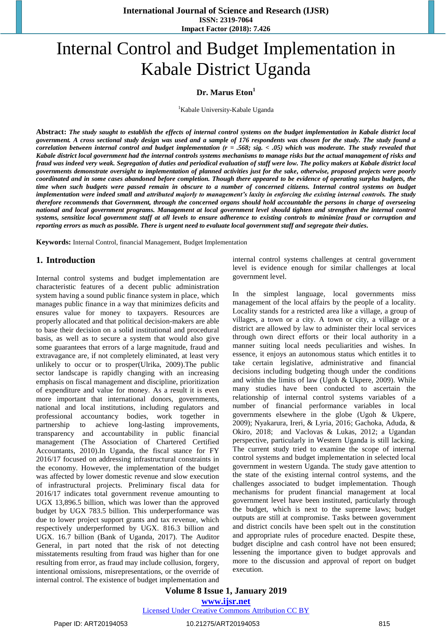# Internal Control and Budget Implementation in Kabale District Uganda

#### **Dr. Marus Eton<sup>1</sup>**

<sup>1</sup>Kabale University-Kabale Uganda

**Abstract:** *The study saught to establish the effects of internal control systems on the budget implementation in Kabale district local government. A cross sectional study design was used and a sample of 176 respondents was chosen for the study. The study found a correlation between internal control and budget implementation (r = .568; sig. < .05) which was moderate. The study revealed that Kabale district local government had the internal controls systems mechanisms to manage risks but the actual management of risks and fraud was indeed very weak. Segregation of duties and periodical evaluation of staff were low. The policy makers at Kabale district local governments demonstrate oversight to implementation of planned activities just for the sake, otherwise, proposed projects were poorly coordinated and in some cases abandoned before completion. Though there appeared to be evidence of operating surplus budgets, the time when such budgets were passed remain in obscure to a number of concerned citizens. Internal control systems on budget implementation were indeed small and attributed majorly to management's laxity in enforcing the existing internal controls. The study therefore recommends that Government, through the concerned organs should hold accountable the persons in charge of overseeing national and local government programs. Management at local government level should tighten and strengthen the internal control systems, sensitize local government staff at all levels to ensure adherence to existing controls to minimize fraud or corruption and reporting errors as much as possible. There is urgent need to evaluate local government staff and segregate their duties.*

**Keywords:** Internal Control, financial Management, Budget Implementation

#### **1. Introduction**

Internal control systems and budget implementation are characteristic features of a decent public administration system having a sound public finance system in place, which manages public finance in a way that minimizes deficits and ensures value for money to taxpayers. Resources are properly allocated and that political decision-makers are able to base their decision on a solid institutional and procedural basis, as well as to secure a system that would also give some guarantees that errors of a large magnitude, fraud and extravagance are, if not completely eliminated, at least very unlikely to occur or to prosper(Ulrika, 2009).The public sector landscape is rapidly changing with an increasing emphasis on fiscal management and discipline, prioritization of expenditure and value for money. As a result it is even more important that international donors, governments, national and local institutions, including regulators and professional accountancy bodies, work together in partnership to achieve long-lasting improvements, transparency and accountability in public financial management (The Association of Chartered Certified Accountants, 2010).In Uganda, the fiscal stance for FY 2016/17 focused on addressing infrastructural constraints in the economy. However, the implementation of the budget was affected by lower domestic revenue and slow execution of infrastructural projects. Preliminary fiscal data for 2016/17 indicates total government revenue amounting to UGX 13,896.5 billion, which was lower than the approved budget by UGX 783.5 billion. This underperformance was due to lower project support grants and tax revenue, which respectively underperformed by UGX. 816.3 billion and UGX. 16.7 billion (Bank of Uganda, 2017). The Auditor General, in part noted that the risk of not detecting misstatements resulting from fraud was higher than for one resulting from error, as fraud may include collusion, forgery, intentional omissions, misrepresentations, or the override of internal control. The existence of budget implementation and internal control systems challenges at central government level is evidence enough for similar challenges at local government level.

In the simplest language, local governments miss management of the local affairs by the people of a locality. Locality stands for a restricted area like a village, a group of villages, a town or a city. A town or city, a village or a district are allowed by law to administer their local services through own direct efforts or their local authority in a manner suiting local needs peculiarities and wishes. In essence, it enjoys an autonomous status which entitles it to take certain legislative, administrative and financial decisions including budgeting though under the conditions and within the limits of law (Ugoh & Ukpere, 2009). While many studies have been conducted to ascertain the relationship of internal control systems variables of a number of financial performance variables in local governments elsewhere in the globe (Ugoh & Ukpere, 2009); Nyakarura, Ireri, & Lyria, 2016; Gachoka, Aduda, & Okiro, 2018; and Vaclovas & Lukas, 2012; a Ugandan perspective, particularly in Western Uganda is still lacking. The current study tried to examine the scope of internal control systems and budget implementation in selected local government in western Uganda. The study gave attention to the state of the existing internal control systems, and the challenges associated to budget implementation. Though mechanisms for prudent financial management at local government level have been instituted, particularly through the budget, which is next to the supreme laws; budget outputs are still at compromise. Tasks between government and district concils have been spelt out in the constitution and appropriate rules of procedure enacted. Despite these, budget disciplne and cash control have not been ensured; lessening the importance given to budget approvals and more to the discussion and approval of report on budget execution.

#### **Volume 8 Issue 1, January 2019 www.ijsr.net**

Licensed Under Creative Commons Attribution CC BY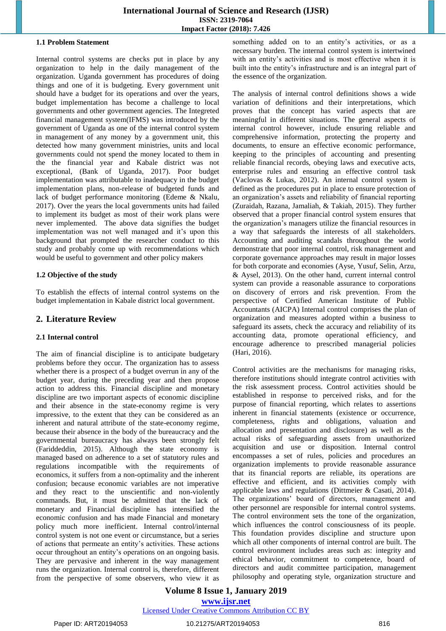#### **1.1 Problem Statement**

Internal control systems are checks put in place by any organization to help in the daily management of the organization. Uganda government has procedures of doing things and one of it is budgeting. Every government unit should have a budget for its operations and over the years, budget implementation has become a challenge to local governments and other government agencies. The Integreted financial management system(IFMS) was introduced by the government of Uganda as one of the internal control system in management of any money by a government unit, this detected how many government ministries, units and local governments could not spend the money located to them in the the financial year and Kabale district was not exceptional, (Bank of Uganda, 2017). Poor budget implementation was attributable to inadequacy in the budget implementation plans, non-release of budgeted funds and lack of budget performance monitoring (Edeme & Nkalu, 2017). Over the years the local governments units had failed to implement its budget as most of their work plans were never implemented. The above data signifies the budget implementation was not well managed and it's upon this background that prompted the researcher conduct to this study and probably come up with recommendations which would be useful to government and other policy makers

#### **1.2 Objective of the study**

To establish the effects of internal control systems on the budget implementation in Kabale district local government.

### **2. Literature Review**

#### **2.1 Internal control**

The aim of financial discipline is to anticipate budgetary problems before they occur. The organization has to assess whether there is a prospect of a budget overrun in any of the budget year, during the preceding year and then propose action to address this. Financial discipline and monetary discipline are two important aspects of economic discipline and their absence in the state-economy regime is very impressive, to the extent that they can be considered as an inherent and natural attribute of the state-economy regime, because their absence in the body of the bureaucracy and the governmental bureaucracy has always been strongly felt (Fariddeddin, 2015). Although the state economy is managed based on adherence to a set of statutory rules and regulations incompatible with the requirements of economics, it suffers from a non-optimality and the inherent confusion; because economic variables are not imperative and they react to the unscientific and non-violently commands. But, it must be admitted that the lack of monetary and Financial discipline has intensified the economic confusion and has made Financial and monetary policy much more inefficient. Internal control/internal control system is not one event or circumstance, but a series of actions that permeate an entity's activities. These actions occur throughout an entity's operations on an ongoing basis. They are pervasive and inherent in the way management runs the organization. Internal control is, therefore, different from the perspective of some observers, who view it as something added on to an entity's activities, or as a necessary burden. The internal control system is intertwined with an entity's activities and is most effective when it is built into the entity's infrastructure and is an integral part of the essence of the organization.

The analysis of internal control definitions shows a wide variation of definitions and their interpretations, which proves that the concept has varied aspects that are meaningful in different situations. The general aspects of internal control however, include ensuring reliable and comprehensive information, protecting the property and documents, to ensure an effective economic performance, keeping to the principles of accounting and presenting reliable financial records, obeying laws and executive acts, enterprise rules and ensuring an effective control task (Vaclovas & Lukas, 2012). An internal control system is defined as the procedures put in place to ensure protection of an organization's assets and reliability of financial reporting (Zuraidah, Razana, Jamaliah, & Takiah, 2015). They further observed that a proper financial control system ensures that the organization's managers utilize the financial resources in a way that safeguards the interests of all stakeholders. Accounting and auditing scandals throughout the world demonstrate that poor internal control, risk management and corporate governance approaches may result in major losses for both corporate and economies (Ayse, Yusuf, Selin, Arzu, & Aysel, 2013). On the other hand, current internal control system can provide a reasonable assurance to corporations on discovery of errors and risk prevention. From the perspective of Certified American Institute of Public Accountants (AICPA) Internal control comprises the plan of organization and measures adopted within a business to safeguard its assets, check the accuracy and reliability of its accounting data, promote operational efficiency, and encourage adherence to prescribed managerial policies (Hari, 2016).

Control activities are the mechanisms for managing risks, therefore institutions should integrate control activities with the risk assessment process. Control activities should be established in response to perceived risks, and for the purpose of financial reporting, which relates to assertions inherent in financial statements (existence or occurrence, completeness, rights and obligations, valuation and allocation and presentation and disclosure) as well as the actual risks of safeguarding assets from unauthorized acquisition and use or disposition. Internal control encompasses a set of rules, policies and procedures an organization implements to provide reasonable assurance that its financial reports are reliable, its operations are effective and efficient, and its activities comply with applicable laws and regulations (Dittmeier & Casati, 2014). The organizations' board of directors, management and other personnel are responsible for internal control systems. The control environment sets the tone of the organization, which influences the control consciousness of its people. This foundation provides discipline and structure upon which all other components of internal control are built. The control environment includes areas such as: integrity and ethical behavior, commitment to competence, board of directors and audit committee participation, management philosophy and operating style, organization structure and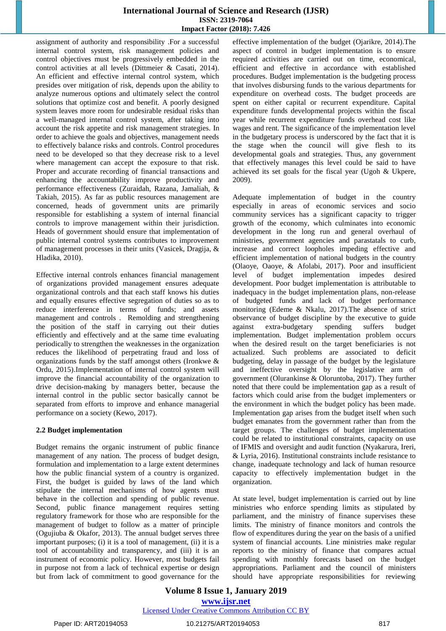assignment of authority and responsibility .For a successful internal control system, risk management policies and control objectives must be progressively embedded in the control activities at all levels (Dittmeier & Casati, 2014). An efficient and effective internal control system, which presides over mitigation of risk, depends upon the ability to analyze numerous options and ultimately select the control solutions that optimize cost and benefit. A poorly designed system leaves more room for undesirable residual risks than a well-managed internal control system, after taking into account the risk appetite and risk management strategies. In order to achieve the goals and objectives, management needs to effectively balance risks and controls. Control procedures need to be developed so that they decrease risk to a level where management can accept the exposure to that risk. Proper and accurate recording of financial transactions and enhancing the accountability improve productivity and performance effectiveness (Zuraidah, Razana, Jamaliah, & Takiah, 2015). As far as public resources management are concerned, heads of government units are primarily responsible for establishing a system of internal financial controls to improve management within their jurisdiction. Heads of government should ensure that implementation of public internal control systems contributes to improvement of management processes in their units (Vasicek, Dragija, & Hladika, 2010).

Effective internal controls enhances financial management of organizations provided management ensures adequate organizational controls and that each staff knows his duties and equally ensures effective segregation of duties so as to reduce interference in terms of funds; and assets management and controls . Remolding and strengthening the position of the staff in carrying out their duties efficiently and effectively and at the same time evaluating periodically to strengthen the weaknesses in the organization reduces the likelihood of perpetrating fraud and loss of organizations funds by the staff amongst others (Ironkwe & Ordu, 2015).Implementation of internal control system will improve the financial accountability of the organization to drive decision-making by managers better, because the internal control in the public sector basically cannot be separated from efforts to improve and enhance managerial performance on a society (Kewo, 2017).

#### **2.2 Budget implementation**

Budget remains the organic instrument of public finance management of any nation. The process of budget design, formulation and implementation to a large extent determines how the public financial system of a country is organized. First, the budget is guided by laws of the land which stipulate the internal mechanisms of how agents must behave in the collection and spending of public revenue. Second, public finance management requires setting regulatory framework for those who are responsible for the management of budget to follow as a matter of principle (Ogujiuba & Okafor, 2013). The annual budget serves three important purposes; (i) it is a tool of management, (ii) it is a tool of accountability and transparency, and (iii) it is an instrument of economic policy. However, most budgets fail in purpose not from a lack of technical expertise or design but from lack of commitment to good governance for the effective implementation of the budget (Ojarikre, 2014).The aspect of control in budget implementation is to ensure required activities are carried out on time, economical, efficient and effective in accordance with established procedures. Budget implementation is the budgeting process that involves disbursing funds to the various departments for expenditure on overhead costs. The budget proceeds are spent on either capital or recurrent expenditure. Capital expenditure funds developmental projects within the fiscal year while recurrent expenditure funds overhead cost like wages and rent. The significance of the implementation level in the budgetary process is underscored by the fact that it is the stage when the council will give flesh to its developmental goals and strategies. Thus, any government that effectively manages this level could be said to have achieved its set goals for the fiscal year (Ugoh & Ukpere, 2009).

Adequate implementation of budget in the country especially in areas of economic services and socio community services has a significant capacity to trigger growth of the economy, which culminates into economic development in the long run and general overhaul of ministries, government agencies and parastatals to curb, increase and correct loopholes impeding effective and efficient implementation of national budgets in the country (Olaoye, Oaoye, & Afolabi, 2017). Poor and insufficient level of budget implementation impedes desired development. Poor budget implementation is attributable to inadequacy in the budget implementation plans, non-release of budgeted funds and lack of budget performance monitoring (Edeme & Nkalu, 2017).The absence of strict observance of budget discipline by the executive to guide against extra-budgetary spending suffers budget implementation. Budget implementation problem occurs when the desired result on the target beneficiaries is not actualized. Such problems are associated to deficit budgeting, delay in passage of the budget by the legislature and ineffective oversight by the legislative arm of government (Olurankinse & Oloruntoba, 2017). They further noted that there could be implementation gap as a result of factors which could arise from the budget implementers or the environment in which the budget policy has been made. Implementation gap arises from the budget itself when such budget emanates from the government rather than from the target groups. The challenges of budget implementation could be related to institutional constraints, capacity on use of IFMIS and oversight and audit function (Nyakarura, Ireri, & Lyria, 2016). Institutional constraints include resistance to change, inadequate technology and lack of human resource capacity to effectively implementation budget in the organization.

At state level, budget implementation is carried out by line ministries who enforce spending limits as stipulated by parliament, and the ministry of finance supervises these limits. The ministry of finance monitors and controls the flow of expenditures during the year on the basis of a unified system of financial accounts. Line ministries make regular reports to the ministry of finance that compares actual spending with monthly forecasts based on the budget appropriations. Parliament and the council of ministers should have appropriate responsibilities for reviewing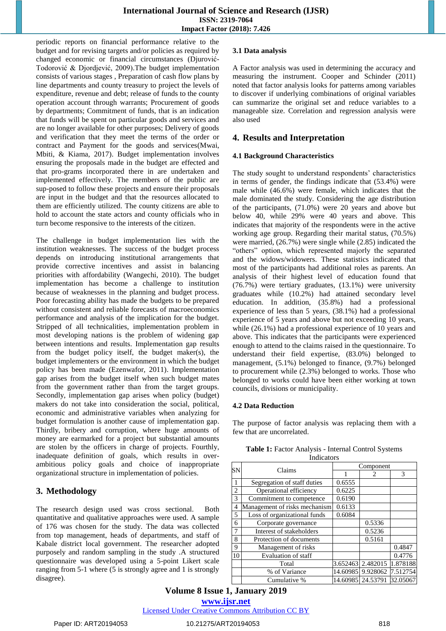periodic reports on financial performance relative to the budget and for revising targets and/or policies as required by changed economic or financial circumstances (Djurović-Todorović & Djordjević, 2009).The budget implementation consists of various stages , Preparation of cash flow plans by line departments and county treasury to project the levels of expenditure, revenue and debt; release of funds to the county operation account through warrants; Procurement of goods by departments; Commitment of funds, that is an indication that funds will be spent on particular goods and services and are no longer available for other purposes; Delivery of goods and verification that they meet the terms of the order or contract and Payment for the goods and services(Mwai, Mbiti, & Kiama, 2017). Budget implementation involves ensuring the proposals made in the budget are effected and that pro-grams incorporated there in are undertaken and implemented effectively. The members of the public are sup-posed to follow these projects and ensure their proposals are input in the budget and that the resources allocated to them are efficiently utilized. The county citizens are able to hold to account the state actors and county officials who in turn become responsive to the interests of the citizen.

The challenge in budget implementation lies with the institution weaknesses. The success of the budget process depends on introducing institutional arrangements that provide corrective incentives and assist in balancing priorities with affordability (Wangechi, 2010). The budget implementation has become a challenge to institution because of weaknesses in the planning and budget process. Poor forecasting ability has made the budgets to be prepared without consistent and reliable forecasts of macroeconomics performance and analysis of the implication for the budget. Stripped of all technicalities, implementation problem in most developing nations is the problem of widening gap between intentions and results. Implementation gap results from the budget policy itself, the budget maker(s), the budget implementers or the environment in which the budget policy has been made (Ezenwafor, 2011). Implementation gap arises from the budget itself when such budget mates from the government rather than from the target groups. Secondly, implementation gap arises when policy (budget) makers do not take into consideration the social, political, economic and administrative variables when analyzing for budget formulation is another cause of implementation gap. Thirdly, bribery and corruption, where huge amounts of money are earmarked for a project but substantial amounts are stolen by the officers in charge of projects. Fourthly, inadequate definition of goals, which results in overambitious policy goals and choice of inappropriate organizational structure in implementation of policies.

# **3. Methodology**

The research design used was cross sectional. Both quantitative and qualitative approaches were used. A sample of 176 was chosen for the study. The data was collected from top management, heads of departments, and staff of Kabale district local government. The researcher adopted purposely and random sampling in the study .A structured questionnaire was developed using a 5-point Likert scale ranging from 5-1 where (5 is strongly agree and 1 is strongly disagree).

#### **3.1 Data analysis**

A Factor analysis was used in determining the accuracy and measuring the instrument. Cooper and Schinder (2011) noted that factor analysis looks for patterns among variables to discover if underlying combinations of original variables can summarize the original set and reduce variables to a manageable size. Correlation and regression analysis were also used

# **4. Results and Interpretation**

#### **4.1 Background Characteristics**

The study sought to understand respondents' characteristics in terms of gender, the findings indicate that (53.4%) were male while (46.6%) were female, which indicates that the male dominated the study. Considering the age distribution of the participants, (71.0%) were 20 years and above but below 40, while 29% were 40 years and above. This indicates that majority of the respondents were in the active working age group. Regarding their marital status, (70.5%) were married, (26.7%) were single while (2.85) indicated the "others" option, which represented majorly the separated and the widows/widowers. These statistics indicated that most of the participants had additional roles as parents. An analysis of their highest level of education found that (76.7%) were tertiary graduates, (13.1%) were university graduates while (10.2%) had attained secondary level education. In addition, (35.8%) had a professional experience of less than 5 years, (38.1%) had a professional experience of 5 years and above but not exceeding 10 years, while (26.1%) had a professional experience of 10 years and above. This indicates that the participants were experienced enough to attend to the claims raised in the questionnaire. To understand their field expertise, (83.0%) belonged to management, (5.1%) belonged to finance, (9.7%) belonged to procurement while (2.3%) belonged to works. Those who belonged to works could have been either working at town councils, divisions or municipality.

#### **4.2 Data Reduction**

The purpose of factor analysis was replacing them with a few that are uncorrelated.

**Table 1:** Factor Analysis - Internal Control Systems Indicators

| SN             | Claims                        | Component |                   |          |  |
|----------------|-------------------------------|-----------|-------------------|----------|--|
|                |                               |           | 2                 | 3        |  |
| 1              | Segregation of staff duties   | 0.6555    |                   |          |  |
| $\overline{2}$ | Operational efficiency        | 0.6225    |                   |          |  |
| 3              | Commitment to competence      | 0.6190    |                   |          |  |
| 4              | Management of risks mechanism | 0.6133    |                   |          |  |
| 5              | Loss of organizational funds  | 0.6084    |                   |          |  |
| 6              | Corporate governance          |           | 0.5336            |          |  |
| 7              | Interest of stakeholders      |           | 0.5236            |          |  |
| 8              | Protection of documents       |           | 0.5161            |          |  |
| 9              | Management of risks           |           |                   | 0.4847   |  |
| 10             | Evaluation of staff           |           |                   | 0.4776   |  |
|                | Total                         | 3.652463  | 2.482015          | 1.878188 |  |
|                | % of Variance                 |           | 14.60985 9.928062 | 7.512754 |  |
|                | Cumulative %                  |           | 14.60985 24.53791 | 32.05067 |  |

**Volume 8 Issue 1, January 2019 www.ijsr.net**

Licensed Under Creative Commons Attribution CC BY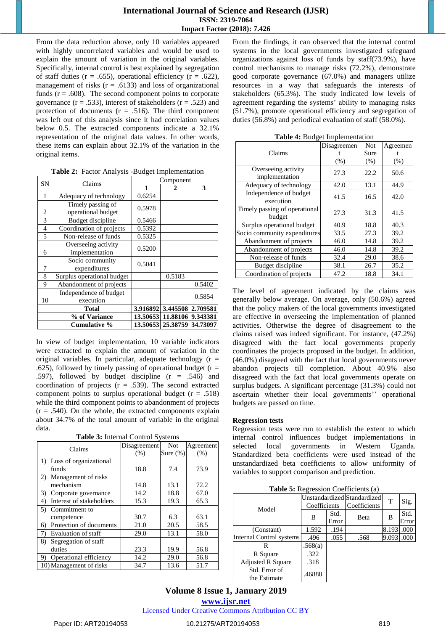From the data reduction above, only 10 variables appeared with highly uncorrelated variables and would be used to explain the amount of variation in the original variables. Specifically, internal control is best explained by segregation of staff duties ( $r = .655$ ), operational efficiency ( $r = .622$ ), management of risks  $(r = .6133)$  and loss of organizational funds  $(r = .608)$ . The second component points to corporate governance  $(r = .533)$ , interest of stakeholders  $(r = .523)$  and protection of documents  $(r = .516)$ . The third component was left out of this analysis since it had correlation values below 0.5. The extracted components indicate a 32.1% representation of the original data values. In other words, these items can explain about 32.1% of the variation in the original items.

|  |  | Table 2: Factor Analysis -Budget Implementation |
|--|--|-------------------------------------------------|
|  |  |                                                 |

| <b>SN</b>      | Claims                     | Component |                            |          |  |
|----------------|----------------------------|-----------|----------------------------|----------|--|
|                |                            | 1         |                            | 3        |  |
| 1              | Adequacy of technology     | 0.6254    |                            |          |  |
|                | Timely passing of          | 0.5978    |                            |          |  |
| 2              | operational budget         |           |                            |          |  |
| 3              | Budget discipline          | 0.5466    |                            |          |  |
| $\overline{4}$ | Coordination of projects   | 0.5392    |                            |          |  |
| 5              | Non-release of funds       | 0.5325    |                            |          |  |
|                | Overseeing activity        | 0.5200    |                            |          |  |
| 6              | implementation             |           |                            |          |  |
|                | Socio community            | 0.5041    |                            |          |  |
| 7              | expenditures               |           |                            |          |  |
| 8              | Surplus operational budget |           | 0.5183                     |          |  |
| 9              | Abandonment of projects    |           |                            | 0.5402   |  |
|                | Independence of budget     |           |                            | 0.5854   |  |
| 10             | execution                  |           |                            |          |  |
|                | <b>Total</b>               | 3.916892  | 3.445508                   | 2.709581 |  |
|                | % of Variance              |           | 13.50653 11.88106          | 9.343381 |  |
|                | Cumulative %               |           | 13.50653 25.38759 34.73097 |          |  |

In view of budget implementation, 10 variable indicators were extracted to explain the amount of variation in the original variables. In particular, adequate technology  $(r =$ .625), followed by timely passing of operational budget ( $r =$ .597), followed by budget discipline  $(r = .546)$  and coordination of projects  $(r = .539)$ . The second extracted component points to surplus operational budget  $(r = .518)$ while the third component points to abandonment of projects  $(r = .540)$ . On the whole, the extracted components explain about 34.7% of the total amount of variable in the original data.

|  |  |  | Table 3: Internal Control Systems |
|--|--|--|-----------------------------------|
|--|--|--|-----------------------------------|

| Claims                         | Disagreement | <b>Not</b>  | Agreement |  |
|--------------------------------|--------------|-------------|-----------|--|
|                                | (% )         | Sure $(\%)$ | (% )      |  |
| 1) Loss of organizational      |              |             |           |  |
| funds                          | 18.8         | 7.4         | 73.9      |  |
| 2) Management of risks         |              |             |           |  |
| mechanism                      | 14.8         | 13.1        | 72.2      |  |
| 3)<br>Corporate governance     | 14.2         | 18.8        | 67.0      |  |
| Interest of stakeholders<br>4) | 15.3         | 19.3        | 65.3      |  |
| Commitment to<br>5)            |              |             |           |  |
| competence                     | 30.7         | 6.3         | 63.1      |  |
| Protection of documents<br>6)  | 21.0         | 20.5        | 58.5      |  |
| Evaluation of staff<br>7)      | 29.0         | 13.1        | 58.0      |  |
| Segregation of staff<br>8)     |              |             |           |  |
| duties                         | 23.3         | 19.9        | 56.8      |  |
| Operational efficiency<br>9)   | 14.2         | 29.0        | 56.8      |  |
| 10) Management of risks        | 34.7         | 13.6        | 51.7      |  |

From the findings, it can observed that the internal control systems in the local governments investigated safeguard organizations against loss of funds by staff(73.9%), have control mechanisms to manage risks (72.2%), demonstrate good corporate governance (67.0%) and managers utilize resources in a way that safeguards the interests of stakeholders (65.3%). The study indicated low levels of agreement regarding the systems' ability to managing risks (51.7%), promote operational efficiency and segregation of duties (56.8%) and periodical evaluation of staff (58.0%).

|  |  | Table 4: Budget Implementation |  |
|--|--|--------------------------------|--|
|  |  |                                |  |

|                                         | Disagreemen | <b>Not</b> | Agreemen |
|-----------------------------------------|-------------|------------|----------|
| Claims                                  |             | Sure       |          |
|                                         | (% )        | (% )       | (% )     |
| Overseeing activity<br>implementation   | 27.3        | 22.2       | 50.6     |
| Adequacy of technology                  | 42.0        | 13.1       | 44.9     |
| Independence of budget<br>execution     | 41.5        | 16.5       | 42.0     |
| Timely passing of operational<br>budget | 27.3        | 31.3       | 41.5     |
| Surplus operational budget              | 40.9        | 18.8       | 40.3     |
| Socio community expenditures            | 33.5        | 27.3       | 39.2     |
| Abandonment of projects                 | 46.0        | 14.8       | 39.2     |
| Abandonment of projects                 | 46.0        | 14.8       | 39.2     |
| Non-release of funds                    | 32.4        | 29.0       | 38.6     |
| Budget discipline                       | 38.1        | 26.7       | 35.2     |
| Coordination of projects                | 47.2        | 18.8       | 34.1     |

The level of agreement indicated by the claims was generally below average. On average, only (50.6%) agreed that the policy makers of the local governments investigated are effective in overseeing the implementation of planned activities. Otherwise the degree of disagreement to the claims raised was indeed significant. For instance, (47.2%) disagreed with the fact local governments properly coordinates the projects proposed in the budget. In addition, (46.0%) disagreed with the fact that local governments never abandon projects till completion. About 40.9% also disagreed with the fact that local governments operate on surplus budgets. A significant percentage (31.3%) could not ascertain whether their local governments'' operational budgets are passed on time.

#### **Regression tests**

Regression tests were run to establish the extent to which internal control influences budget implementations in selected local governments in Western Uganda. Standardized beta coefficients were used instead of the unstandardized beta coefficients to allow uniformity of variables to support comparison and prediction.

| Table 5: Regression Coefficients (a) |
|--------------------------------------|
|--------------------------------------|

| Model                           | <b>Unstandardized Standardized</b><br>Coefficients |               | Coefficients | T     | Sig.          |
|---------------------------------|----------------------------------------------------|---------------|--------------|-------|---------------|
|                                 | в                                                  | Std.<br>Error | Beta         | В     | Std.<br>Error |
| (Constant)                      | 1.592                                              | .194          |              | 8.193 | .000          |
| <b>Internal Control systems</b> | .496                                               | .055          | .568         | 9.093 | .000          |
| R                               | .568(a)                                            |               |              |       |               |
| R Square                        | .322                                               |               |              |       |               |
| <b>Adjusted R Square</b>        | .318                                               |               |              |       |               |
| Std. Error of<br>the Estimate   | .46888                                             |               |              |       |               |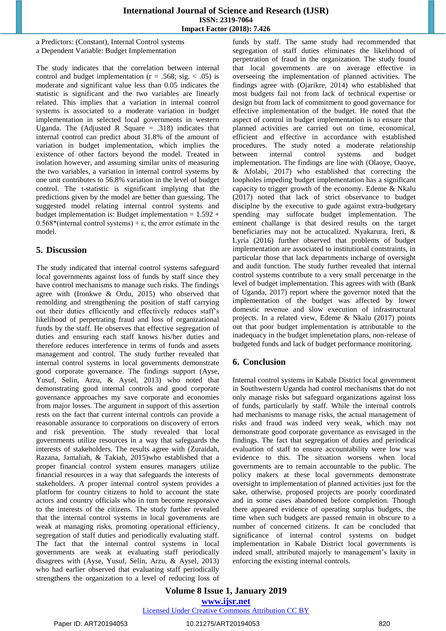a Predictors: (Constant), Internal Control systems a Dependent Variable: Budget Implementation

The study indicates that the correlation between internal control and budget implementation ( $r = .568$ ; sig. < .05) is moderate and significant value less than 0.05 indicates the statistic is significant and the two variables are linearly related. This implies that a variation in internal control systems is associated to a moderate variation in budget implementation in selected local governments in western Uganda. The (Adjusted R Square  $= .318$ ) indicates that internal control can predict about 31.8% of the amount of variation in budget implementation, which implies the existence of other factors beyond the model. Treated in isolation however, and assuming similar units of measuring the two variables, a variation in internal control systems by one unit contributes to 56.8% variation in the level of budget control. The t-statistic is significant implying that the predictions given by the model are better than guessing. The suggested model relating internal control systems and budget implementation is: Budget implementation =  $1.592 +$  $0.568*($  internal control systems) +  $\varepsilon$ , the error estimate in the model.

# **5. Discussion**

The study indicated that internal control systems safeguard local governments against loss of funds by staff since they have control mechanisms to manage such risks. The findings agree with (Ironkwe & Ordu, 2015) who observed that remolding and strengthening the position of staff carrying out their duties efficiently and effectively reduces staff's likelihood of perpetrating fraud and loss of organizational funds by the staff. He observes that effective segregation of duties and ensuring each staff knows his/her duties and therefore reduces interference in terms of funds and assets management and control. The study further revealed that internal control systems in local governments demonstrate good corporate governance. The findings support (Ayse, Yusuf, Selin, Arzu, & Aysel, 2013) who noted that demonstrating good internal controls and good corporate governance approaches my save corporate and economies from major losses. The argument in support of this assertion rests on the fact that current internal controls can provide a reasonable assurance to corporations on discovery of errors and risk prevention. The study revealed that local governments utilize resources in a way that safeguards the interests of stakeholders. The results agree with (Zuraidah, Razana, Jamaliah, & Takiah, 2015)who established that a proper financial control system ensures managers utilize financial resources in a way that safeguards the interests of stakeholders. A proper internal control system provides a platform for country citizens to hold to account the state actors and country officials who in turn become responsive to the interests of the citizens. The study further revealed that the internal control systems in local governments are weak at managing risks, promoting operational efficiency, segregation of staff duties and periodically evaluating staff. The fact that the internal control systems in local governments are weak at evaluating staff periodically disagrees with (Ayse, Yusuf, Selin, Arzu, & Aysel, 2013) who had earlier observed that evaluating staff periodically strengthens the organization to a level of reducing loss of funds by staff. The same study had recommended that segregation of staff duties eliminates the likelihood of perpetration of fraud in the organization. The study found that local governments are on average effective in overseeing the implementation of planned activities. The findings agree with (Ojarikre, 2014) who established that most budgets fail not from lack of technical expertise or design but from lack of commitment to good governance for effective implementation of the budget. He noted that the aspect of control in budget implementation is to ensure that planned activities are carried out on time, economical, efficient and effective in accordance with established procedures. The study noted a moderate relationship between internal control systems and budget implementation. The findings are line with (Olaoye, Oaoye, & Afolabi, 2017) who established that correcting the loopholes impeding budget implementation has a significant capacity to trigger growth of the economy. Edeme & Nkalu (2017) noted that lack of strict observance to budget disciplne by the executive to gude against extra-budgetary spending may suffocate budget implementation. The eminent challange is that desired results on the target beneficiaries may not be actucalized. Nyakarura, Ireri, & Lyria (2016) further observed that problems of budget implementation are associated to institutional contstraints, in particular those that lack departments incharge of oversight and audit function. The study further revealed that internal control systems contribute to a very small percenatge in the level of budget implementation. This agrees with with (Bank of Uganda, 2017) report where the governor noted that the implementation of the budget was affected by lower domestic revenue and slow execution of infrastructural projects. In a related view, Edeme & Nkalu (2017) points out that poor budget implementation is attributable to the inadequacy in the budget implenetation plans, non-release of budgeted funds and lack of budget performance monitoring.

# **6. Conclusion**

Internal control systems in Kabale District local government in Southwestern Uganda had control mechanisms that do not only manage risks but safeguard organizations against loss of funds, particularly by staff. While the internal controls had mechanisms to manage risks, the actual management of risks and fraud was indeed very weak, which may not demonstrate good corporate governance as envisaged in the findings. The fact that segregation of duties and periodical evaluation of staff to ensure accountability were low was evidence to this. The situation worsens when local governments are to remain accountable to the public. The policy makers at these local governments demonstrate oversight to implementation of planned activities just for the sake, otherwise, proposed projects are poorly coordinated and in some cases abandoned before completion. Though there appeared evidence of operating surplus budgets, the time when such budgets are passed remain in obscure to a number of concerned citizens. It can be concluded that significance of internal control systems on budget implementation in Kabale District local governments is indeed small, attributed majorly to management's laxity in enforcing the existing internal controls.